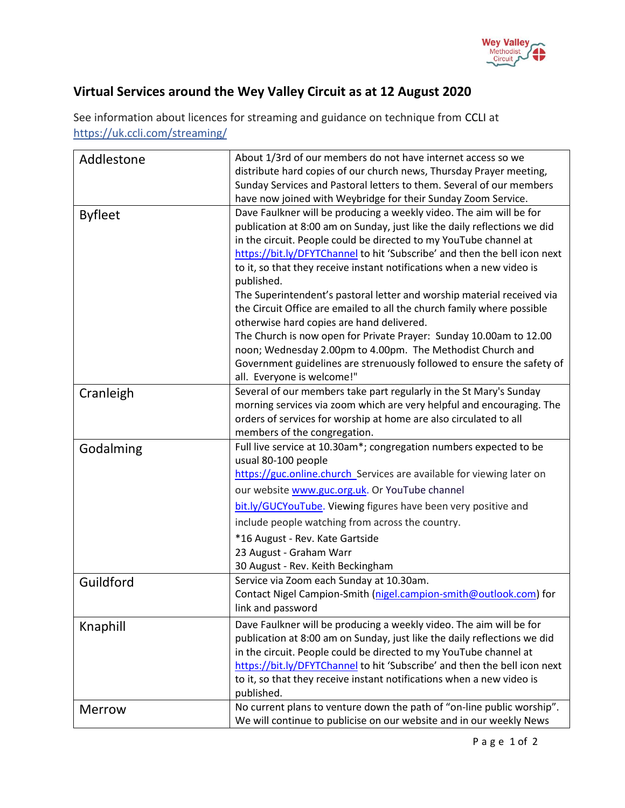

## **Virtual Services around the Wey Valley Circuit as at 12 August 2020**

See information about licences for streaming and guidance on technique from [CCLI](https://artserve.us8.list-manage.com/track/click?u=c2d1d9ca953fdf84333ea4bda&id=f3890112bb&e=05716758b6) at https://uk.ccli.com/streaming/

| Addlestone     | About 1/3rd of our members do not have internet access so we              |
|----------------|---------------------------------------------------------------------------|
|                | distribute hard copies of our church news, Thursday Prayer meeting,       |
|                | Sunday Services and Pastoral letters to them. Several of our members      |
|                | have now joined with Weybridge for their Sunday Zoom Service.             |
| <b>Byfleet</b> | Dave Faulkner will be producing a weekly video. The aim will be for       |
|                | publication at 8:00 am on Sunday, just like the daily reflections we did  |
|                | in the circuit. People could be directed to my YouTube channel at         |
|                | https://bit.ly/DFYTChannel to hit 'Subscribe' and then the bell icon next |
|                | to it, so that they receive instant notifications when a new video is     |
|                | published.                                                                |
|                | The Superintendent's pastoral letter and worship material received via    |
|                | the Circuit Office are emailed to all the church family where possible    |
|                | otherwise hard copies are hand delivered.                                 |
|                | The Church is now open for Private Prayer: Sunday 10.00am to 12.00        |
|                | noon; Wednesday 2.00pm to 4.00pm. The Methodist Church and                |
|                | Government guidelines are strenuously followed to ensure the safety of    |
|                | all. Everyone is welcome!"                                                |
| Cranleigh      | Several of our members take part regularly in the St Mary's Sunday        |
|                | morning services via zoom which are very helpful and encouraging. The     |
|                | orders of services for worship at home are also circulated to all         |
|                | members of the congregation.                                              |
| Godalming      | Full live service at 10.30am*; congregation numbers expected to be        |
|                | usual 80-100 people                                                       |
|                | https://guc.online.church_Services are available for viewing later on     |
|                | our website www.guc.org.uk. Or YouTube channel                            |
|                | bit.ly/GUCYouTube. Viewing figures have been very positive and            |
|                | include people watching from across the country.                          |
|                | *16 August - Rev. Kate Gartside                                           |
|                | 23 August - Graham Warr                                                   |
|                | 30 August - Rev. Keith Beckingham                                         |
| Guildford      | Service via Zoom each Sunday at 10.30am.                                  |
|                | Contact Nigel Campion-Smith (nigel.campion-smith@outlook.com) for         |
|                | link and password                                                         |
| Knaphill       | Dave Faulkner will be producing a weekly video. The aim will be for       |
|                | publication at 8:00 am on Sunday, just like the daily reflections we did  |
|                | in the circuit. People could be directed to my YouTube channel at         |
|                | https://bit.ly/DFYTChannel to hit 'Subscribe' and then the bell icon next |
|                | to it, so that they receive instant notifications when a new video is     |
|                | published.                                                                |
| <b>Merrow</b>  | No current plans to venture down the path of "on-line public worship".    |
|                | We will continue to publicise on our website and in our weekly News       |